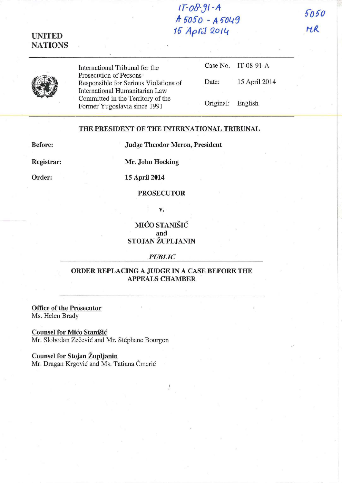## **I r-ofl-.J1-A A- 0050 - A 1)01.{9 10** *Aprc:(* **QOllt**

5050 MR



**UNITED NATIONS** 

> International Tribunal for the Prosecution of Persons Responsible for Serious Violations of International Humanitarian Law Committed in the Territory of the Fonner Yugoslavia since 1991

|                   | Case No. $IT-08-91-A$ |
|-------------------|-----------------------|
| Date:             | 15 April 2014         |
| Original: English |                       |

## **THE PRESIDENT OF THE INTERNATIONAL TRIBUNAL**

**Before:** 

**Judge Theodor Meron, President** 

**Registrar:** 

**Order:** 

**Mr. John Hocking** 

**15 April 2014** 

## **PROSECUTOR**

v.

**MIĆO STANIŠIĆ and STOJAN ZUPLJANIN** 

*PUBLIC* 

## **ORDER REPLACING A JUDGE IN A CASE BEFORE THE APPEALS CHAMBER**

**Office of the Prosecutor**  Ms. Helen Brady

**Counsel for Mico Stanisic**  Mr. Slobodan Zečević and Mr. Stéphane Bourgon

**Counsel for Stojan Zupljanin**  Mr. Dragan Krgović and Ms. Tatiana Čmerić